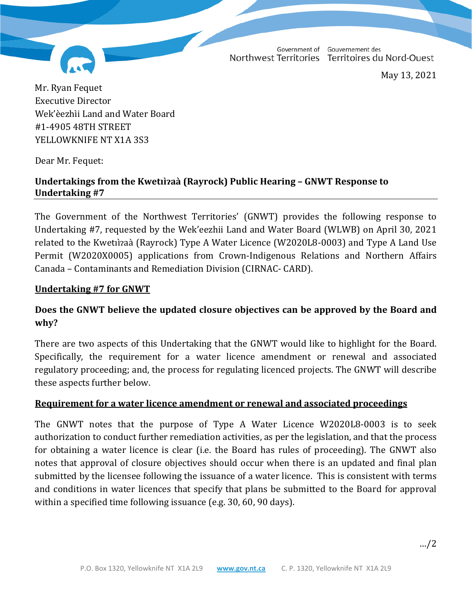Government of Gouvernement des Northwest Territories Territoires du Nord-Ouest

May 13, 2021

Mr. Ryan Fequet Executive Director Wek'èezhìi Land and Water Board #1-4905 48TH STREET YELLOWKNIFE NT X1A 3S3

Dear Mr. Fequet:

# **Undertakings from the Kwetıı̀ɂaà (Rayrock) Public Hearing – GNWT Response to Undertaking #7**

The Government of the Northwest Territories' (GNWT) provides the following response to Undertaking #7, requested by the Wek'eezhii Land and Water Board (WLWB) on April 30, 2021 related to the Kwetiizaà (Rayrock) Type A Water Licence (W2020L8-0003) and Type A Land Use Permit (W2020X0005) applications from Crown-Indigenous Relations and Northern Affairs Canada – Contaminants and Remediation Division (CIRNAC- CARD).

### **Undertaking #7 for GNWT**

# **Does the GNWT believe the updated closure objectives can be approved by the Board and why?**

There are two aspects of this Undertaking that the GNWT would like to highlight for the Board. Specifically, the requirement for a water licence amendment or renewal and associated regulatory proceeding; and, the process for regulating licenced projects. The GNWT will describe these aspects further below.

### **Requirement for a water licence amendment or renewal and associated proceedings**

The GNWT notes that the purpose of Type A Water Licence W2020L8-0003 is to seek authorization to conduct further remediation activities, as per the legislation, and that the process for obtaining a water licence is clear (i.e. the Board has rules of proceeding). The GNWT also notes that approval of closure objectives should occur when there is an updated and final plan submitted by the licensee following the issuance of a water licence. This is consistent with terms and conditions in water licences that specify that plans be submitted to the Board for approval within a specified time following issuance (e.g. 30, 60, 90 days).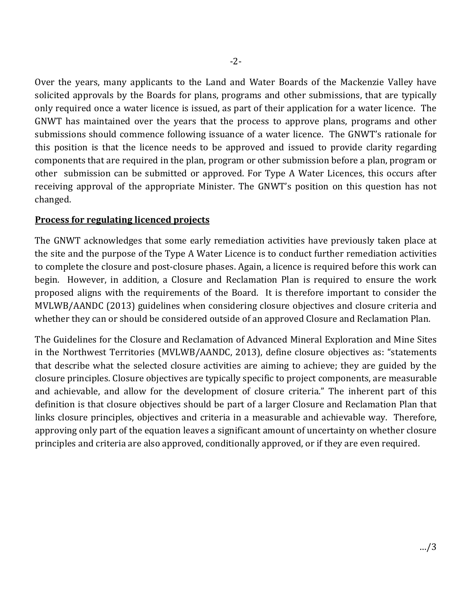Over the years, many applicants to the Land and Water Boards of the Mackenzie Valley have solicited approvals by the Boards for plans, programs and other submissions, that are typically only required once a water licence is issued, as part of their application for a water licence. The GNWT has maintained over the years that the process to approve plans, programs and other submissions should commence following issuance of a water licence. The GNWT's rationale for this position is that the licence needs to be approved and issued to provide clarity regarding components that are required in the plan, program or other submission before a plan, program or other submission can be submitted or approved. For Type A Water Licences, this occurs after receiving approval of the appropriate Minister. The GNWT's position on this question has not changed.

### **Process for regulating licenced projects**

The GNWT acknowledges that some early remediation activities have previously taken place at the site and the purpose of the Type A Water Licence is to conduct further remediation activities to complete the closure and post-closure phases. Again, a licence is required before this work can begin. However, in addition, a Closure and Reclamation Plan is required to ensure the work proposed aligns with the requirements of the Board. It is therefore important to consider the MVLWB/AANDC (2013) guidelines when considering closure objectives and closure criteria and whether they can or should be considered outside of an approved Closure and Reclamation Plan.

The Guidelines for the Closure and Reclamation of Advanced Mineral Exploration and Mine Sites in the Northwest Territories (MVLWB/AANDC, 2013), define closure objectives as: "statements that describe what the selected closure activities are aiming to achieve; they are guided by the closure principles. Closure objectives are typically specific to project components, are measurable and achievable, and allow for the development of closure criteria." The inherent part of this definition is that closure objectives should be part of a larger Closure and Reclamation Plan that links closure principles, objectives and criteria in a measurable and achievable way. Therefore, approving only part of the equation leaves a significant amount of uncertainty on whether closure principles and criteria are also approved, conditionally approved, or if they are even required.